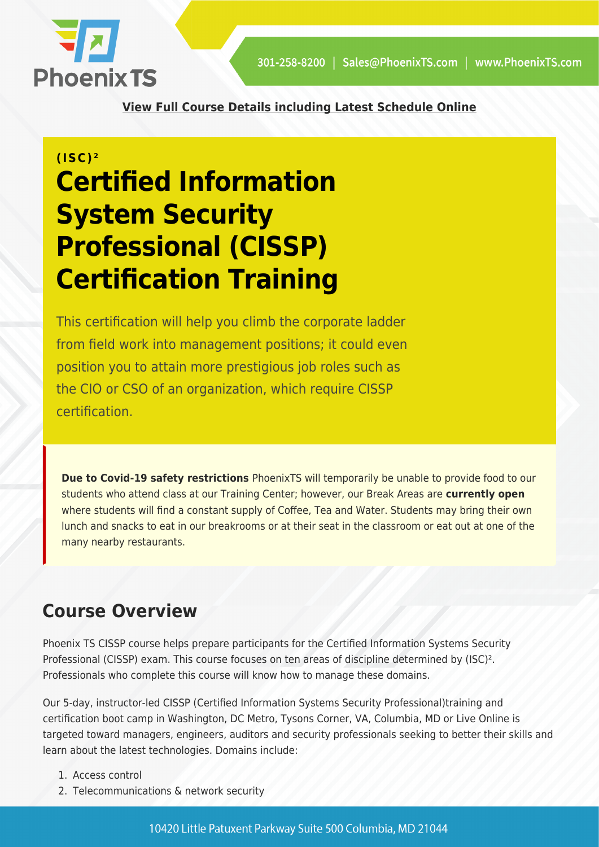

**[View Full Course Details including Latest Schedule Online](https://phoenixts.com/training-courses/cissp-certification-training-washington-dc/)**

# **(ISC)² Certified Information System Security Professional (CISSP) Certification Training**

This certification will help you climb the corporate ladder from field work into management positions; it could even position you to attain more prestigious job roles such as the CIO or CSO of an organization, which require CISSP certification.

**Due to Covid-19 safety restrictions** PhoenixTS will temporarily be unable to provide food to our students who attend class at our Training Center; however, our Break Areas are **currently open** where students will find a constant supply of Coffee, Tea and Water. Students may bring their own lunch and snacks to eat in our breakrooms or at their seat in the classroom or eat out at one of the many nearby restaurants.

### **Course Overview**

Phoenix TS CISSP course helps prepare participants for the Certified Information Systems Security Professional (CISSP) exam. This course focuses on ten areas of discipline determined by (ISC)². Professionals who complete this course will know how to manage these domains.

Our 5-day, instructor-led CISSP (Certified Information Systems Security Professional)training and certification boot camp in Washington, DC Metro, Tysons Corner, VA, Columbia, MD or Live Online is targeted toward managers, engineers, auditors and security professionals seeking to better their skills and learn about the latest technologies. Domains include:

- 1. Access control
- 2. Telecommunications & network security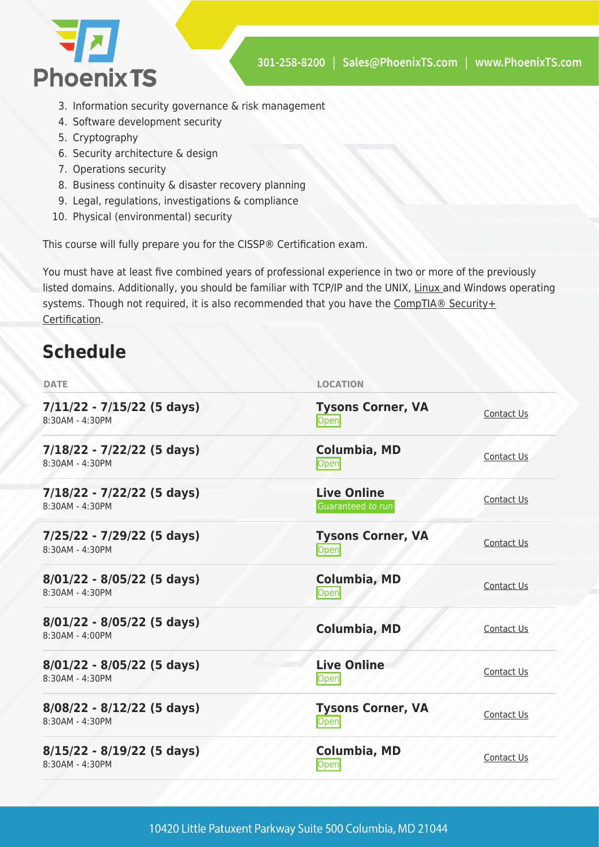

- 3. Information security governance & risk management
- 4. Software development security
- 5. Cryptography
- 6. Security architecture & design
- 7. Operations security
- 8. Business continuity & disaster recovery planning
- 9. Legal, regulations, investigations & compliance
- 10. Physical (environmental) security

This course will fully prepare you for the CISSP® Certification exam.

You must have at least five combined years of professional experience in two or more of the previously listed domains. Additionally, you should be familiar with TCP/IP and the UNIX, [Linux](https://phoenixts.com/training-courses/comptia-linux-plus-certification-training/) and Windows operating systems. Though not required, it is also recommended that you have the [CompTIA® Security+](https://phoenixts.com/training-courses/comptia-security-plus-certification-training/) [Certification](https://phoenixts.com/training-courses/comptia-security-plus-certification-training/).

# **Schedule**

| <b>DATE</b>                                       | <b>LOCATION</b>                         |            |
|---------------------------------------------------|-----------------------------------------|------------|
| $7/11/22 - 7/15/22$ (5 days)<br>8:30AM - 4:30PM   | <b>Tysons Corner, VA</b><br>Open        | Contact Us |
| $7/18/22 - 7/22/22$ (5 days)<br>8:30AM - 4:30PM   | Columbia, MD<br><b>Open</b>             | Contact Us |
| $7/18/22 - 7/22/22$ (5 days)<br>8:30AM - 4:30PM   | <b>Live Online</b><br>Guaranteed to run | Contact Us |
| 7/25/22 - 7/29/22 (5 days)<br>8:30AM - 4:30PM     | <b>Tysons Corner, VA</b><br>Open        | Contact Us |
| $8/01/22 - 8/05/22$ (5 days)<br>8:30AM - 4:30PM   | <b>Columbia, MD</b><br>Open             | Contact Us |
| $8/01/22 - 8/05/22$ (5 days)<br>$8:30AM - 4:00PM$ | Columbia, MD                            | Contact Us |
| $8/01/22 - 8/05/22$ (5 days)<br>8:30AM - 4:30PM   | <b>Live Online</b><br>Open              | Contact Us |
| $8/08/22 - 8/12/22$ (5 days)<br>8:30AM - 4:30PM   | <b>Tysons Corner, VA</b><br>Open        | Contact Us |
| $8/15/22 - 8/19/22$ (5 days)<br>8:30AM - 4:30PM   | Columbia, MD<br>Open                    | Contact Us |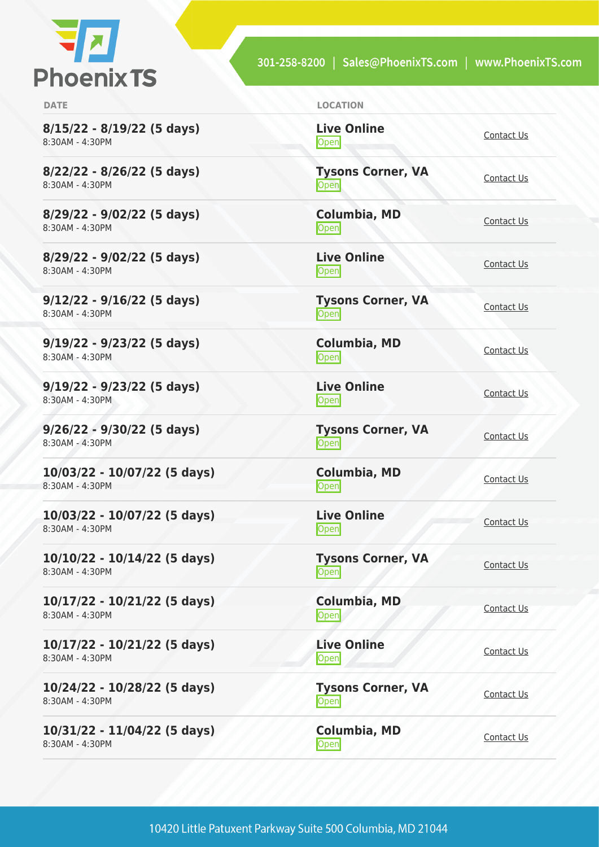

**8/15/22 - 8/19/22 (5 days)** 8:30AM - 4:30PM

**8/22/22 - 8/26/22 (5 days)** 8:30AM - 4:30PM

**8/29/22 - 9/02/22 (5 days)** 8:30AM - 4:30PM

**8/29/22 - 9/02/22 (5 days)** 8:30AM - 4:30PM

**9/12/22 - 9/16/22 (5 days)** 8:30AM - 4:30PM

**9/19/22 - 9/23/22 (5 days)** 8:30AM - 4:30PM

**9/19/22 - 9/23/22 (5 days)** 8:30AM - 4:30PM

**9/26/22 - 9/30/22 (5 days)** 8:30AM - 4:30PM

**10/03/22 - 10/07/22 (5 days)** 8:30AM - 4:30PM

**10/03/22 - 10/07/22 (5 days)** 8:30AM - 4:30PM

**10/10/22 - 10/14/22 (5 days)** 8:30AM - 4:30PM

**10/17/22 - 10/21/22 (5 days)** 8:30AM - 4:30PM

**10/17/22 - 10/21/22 (5 days)** 8:30AM - 4:30PM

**10/24/22 - 10/28/22 (5 days)** 8:30AM - 4:30PM

**10/31/22 - 11/04/22 (5 days)** 8:30AM - 4:30PM

**DATE LOCATION**

**Live Online** <u>[Contact Us](https://phoenixts.com/schedule/more-info/?class=21760)</u>

**Tysons Corner, VA Open** [Contact Us](https://phoenixts.com/schedule/more-info/?class=21741)

**Columbia, MD** [Contact Us](https://phoenixts.com/schedule/more-info/?class=21744)<br>Open

**Live Online** <u>[Contact Us](https://phoenixts.com/schedule/more-info/?class=21759)</u>

**Tysons Corner, VA Open** [Contact Us](https://phoenixts.com/schedule/more-info/?class=21721)

**Columbia, MD [Contact Us](https://phoenixts.com/schedule/more-info/?class=21745)**<br>
Open

**Live Online** <u>Open</u> [Contact Us](https://phoenixts.com/schedule/more-info/?class=21758) Contact Us

**Tysons Corner, VA Open** [Contact Us](https://phoenixts.com/schedule/more-info/?class=21722)

**Columbia, MD** [Contact Us](https://phoenixts.com/schedule/more-info/?class=21746)<br>Open

**Live Online** <u>Open</u> [Contact Us](https://phoenixts.com/schedule/more-info/?class=21757)

**Live Online**

**Tysons Corner, VA Open** [Contact Us](https://phoenixts.com/schedule/more-info/?class=21723)

**Columbia, MD** Open [Contact Us](https://phoenixts.com/schedule/more-info/?class=21747)

**[Contact Us](https://phoenixts.com/schedule/more-info/?class=21756)** 

**Tysons Corner, VA Open** [Contact Us](https://phoenixts.com/schedule/more-info/?class=21724)

**Columbia, MD** [Contact Us](https://phoenixts.com/schedule/more-info/?class=21748)<br>Open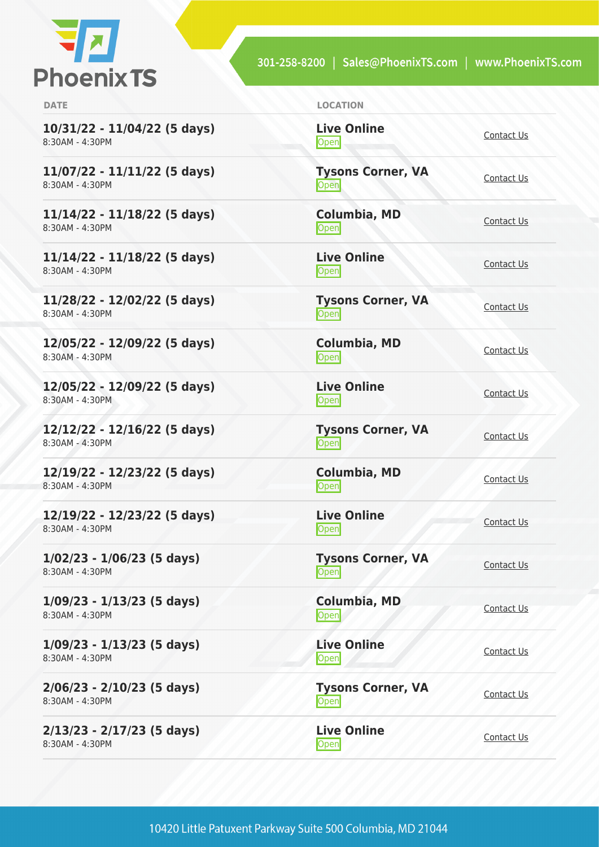

| <b>DATE</b>                                       | <b>LOCATION</b>                   |                   |
|---------------------------------------------------|-----------------------------------|-------------------|
| 10/31/22 - 11/04/22 (5 days)<br>8:30AM - 4:30PM   | <b>Live Online</b><br>Open        | Contact Us        |
| $11/07/22 - 11/11/22$ (5 days)<br>8:30AM - 4:30PM | <b>Tysons Corner, VA</b><br>Open  | Contact Us        |
| 11/14/22 - 11/18/22 (5 days)<br>8:30AM - 4:30PM   | Columbia, MD<br>Open              | Contact Us        |
| 11/14/22 - 11/18/22 (5 days)<br>8:30AM - 4:30PM   | <b>Live Online</b><br>Open        | Contact Us        |
| 11/28/22 - 12/02/22 (5 days)<br>8:30AM - 4:30PM   | <b>Tysons Corner, VA</b><br>Open  | Contact Us        |
| 12/05/22 - 12/09/22 (5 days)<br>8:30AM - 4:30PM   | Columbia, MD<br>Open              | Contact Us        |
| 12/05/22 - 12/09/22 (5 days)<br>8:30AM - 4:30PM   | <b>Live Online</b><br>Open        | Contact Us        |
| 12/12/22 - 12/16/22 (5 days)<br>8:30AM - 4:30PM   | <b>Tysons Corner, VA</b><br>Open  | Contact Us        |
| 12/19/22 - 12/23/22 (5 days)<br>8:30AM - 4:30PM   | Columbia, MD<br>Open              | Contact Us        |
| 12/19/22 - 12/23/22 (5 days)<br>8:30AM - 4:30PM   | <b>Live Online</b><br><b>Open</b> | Contact Us        |
| $1/02/23 - 1/06/23$ (5 days)<br>8:30AM - 4:30PM   | <b>Tysons Corner, VA</b><br>Open  | Contact Us        |
| $1/09/23 - 1/13/23$ (5 days)<br>8:30AM - 4:30PM   | Columbia, MD<br>Open              | Contact Us        |
| $1/09/23 - 1/13/23$ (5 days)<br>8:30AM - 4:30PM   | <b>Live Online</b><br>Open        | <b>Contact Us</b> |
| 2/06/23 - 2/10/23 (5 days)<br>8:30AM - 4:30PM     | <b>Tysons Corner, VA</b><br>Open  | Contact Us        |
| 2/13/23 - 2/17/23 (5 days)<br>8:30AM - 4:30PM     | <b>Live Online</b><br>Open        | Contact Us        |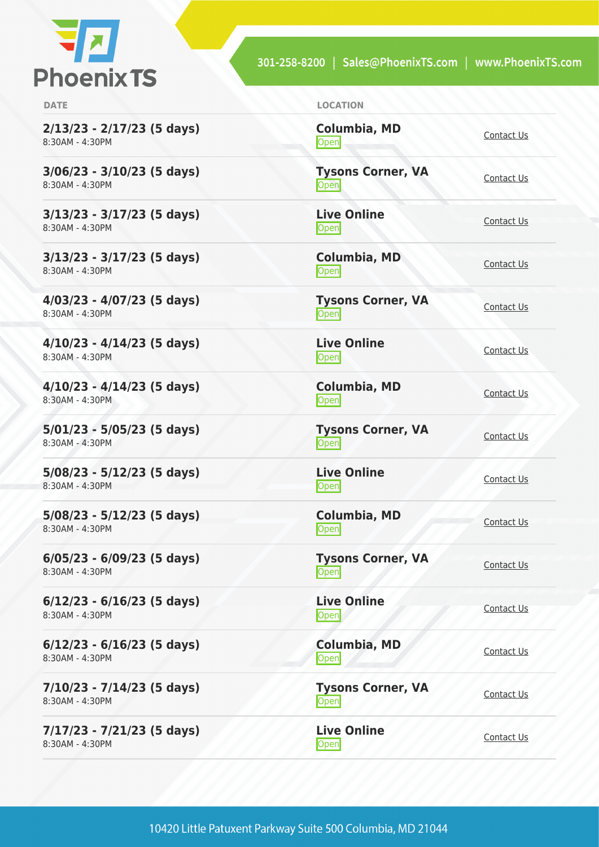

**2/13/23 - 2/17/23 (5 days)** 8:30AM - 4:30PM

**3/06/23 - 3/10/23 (5 days)** 8:30AM - 4:30PM

**3/13/23 - 3/17/23 (5 days)** 8:30AM - 4:30PM

**3/13/23 - 3/17/23 (5 days)** 8:30AM - 4:30PM

**4/03/23 - 4/07/23 (5 days)** 8:30AM - 4:30PM

**4/10/23 - 4/14/23 (5 days)** 8:30AM - 4:30PM

**4/10/23 - 4/14/23 (5 days)** 8:30AM - 4:30PM

**5/01/23 - 5/05/23 (5 days)** 8:30AM - 4:30PM

**5/08/23 - 5/12/23 (5 days)** 8:30AM - 4:30PM

**5/08/23 - 5/12/23 (5 days)** 8:30AM - 4:30PM

**6/05/23 - 6/09/23 (5 days)** 8:30AM - 4:30PM

**6/12/23 - 6/16/23 (5 days)** 8:30AM - 4:30PM

**6/12/23 - 6/16/23 (5 days)** 8:30AM - 4:30PM

**7/10/23 - 7/14/23 (5 days)** 8:30AM - 4:30PM

**7/17/23 - 7/21/23 (5 days)** 8:30AM - 4:30PM

| <b>DATE</b> | <b>LOCATION</b> |
|-------------|-----------------|
|             |                 |

**Columbia, MD** [Contact Us](https://phoenixts.com/schedule/more-info/?class=28381)<br>Open

**Tysons Corner, VA Open** [Contact Us](https://phoenixts.com/schedule/more-info/?class=28238) Contact Us

**Live Online** <u>[Contact Us](https://phoenixts.com/schedule/more-info/?class=28267)</u><br>Open

**Columbia, MD** [Contact Us](https://phoenixts.com/schedule/more-info/?class=28382)<br>Open

**Tysons Corner, VA Open** [Contact Us](https://phoenixts.com/schedule/more-info/?class=28243)

**Live Online** <u>Open</u> [Contact Us](https://phoenixts.com/schedule/more-info/?class=28268)

**Columbia, MD [Contact Us](https://phoenixts.com/schedule/more-info/?class=28383)**<br>
Open

**Tysons Corner, VA Open** [Contact Us](https://phoenixts.com/schedule/more-info/?class=28245)

**Live Online** <u>Open</u> [Contact Us](https://phoenixts.com/schedule/more-info/?class=28269)

**Columbia, MD** [Contact Us](https://phoenixts.com/schedule/more-info/?class=28384)<br>Open

**Tysons Corner, VA Open** [Contact Us](https://phoenixts.com/schedule/more-info/?class=28247) Contact Us

**Live Online Open** [Contact Us](https://phoenixts.com/schedule/more-info/?class=28270)

**Columbia, MD** [Contact Us](https://phoenixts.com/schedule/more-info/?class=28385)<br>Open Contact Us

**Tysons Corner, VA Open** [Contact Us](https://phoenixts.com/schedule/more-info/?class=28253)

**Live Online** <u>Open</u> [Contact Us](https://phoenixts.com/schedule/more-info/?class=28272)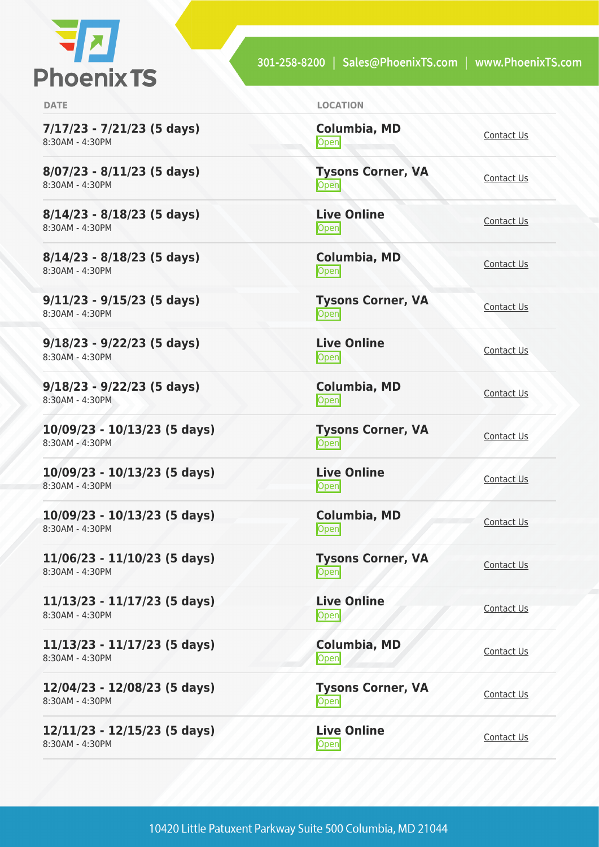

**7/17/23 - 7/21/23 (5 days)** 8:30AM - 4:30PM

**8/07/23 - 8/11/23 (5 days)** 8:30AM - 4:30PM

**8/14/23 - 8/18/23 (5 days)** 8:30AM - 4:30PM

**8/14/23 - 8/18/23 (5 days)** 8:30AM - 4:30PM

**9/11/23 - 9/15/23 (5 days)** 8:30AM - 4:30PM

**9/18/23 - 9/22/23 (5 days)** 8:30AM - 4:30PM

**9/18/23 - 9/22/23 (5 days)** 8:30AM - 4:30PM

**10/09/23 - 10/13/23 (5 days)** 8:30AM - 4:30PM

**10/09/23 - 10/13/23 (5 days)** 8:30AM - 4:30PM

**10/09/23 - 10/13/23 (5 days)** 8:30AM - 4:30PM

**11/06/23 - 11/10/23 (5 days)** 8:30AM - 4:30PM

**11/13/23 - 11/17/23 (5 days)** 8:30AM - 4:30PM

**11/13/23 - 11/17/23 (5 days)** 8:30AM - 4:30PM

**12/04/23 - 12/08/23 (5 days)** 8:30AM - 4:30PM

**12/11/23 - 12/15/23 (5 days)** 8:30AM - 4:30PM

**DATE LOCATION**

**Columbia, MD** [Contact Us](https://phoenixts.com/schedule/more-info/?class=28386)<br>Open

**Tysons Corner, VA Open** [Contact Us](https://phoenixts.com/schedule/more-info/?class=28254) Contact Us

**Live Online** <u>[Contact Us](https://phoenixts.com/schedule/more-info/?class=28275)</u><br>Open

**Columbia, MD** [Contact Us](https://phoenixts.com/schedule/more-info/?class=28387)<br>Open

**Tysons Corner, VA Open** [Contact Us](https://phoenixts.com/schedule/more-info/?class=28258)

**Live Online** <u>Open</u> [Contact Us](https://phoenixts.com/schedule/more-info/?class=28277)

**Columbia, MD [Contact Us](https://phoenixts.com/schedule/more-info/?class=28388)**<br>
Open

**Tysons Corner, VA Open** [Contact Us](https://phoenixts.com/schedule/more-info/?class=28263)

**Live Online** <u>Open</u> [Contact Us](https://phoenixts.com/schedule/more-info/?class=28280)

**Columbia, MD** [Contact Us](https://phoenixts.com/schedule/more-info/?class=28389)<br>Open

**Tysons Corner, VA Open** [Contact Us](https://phoenixts.com/schedule/more-info/?class=28264)

**Live Online Open** [Contact Us](https://phoenixts.com/schedule/more-info/?class=28283)

**Columbia, MD** [Contact Us](https://phoenixts.com/schedule/more-info/?class=28390)<br>Open Contact Us **Tysons Corner, VA**

**Open** [Contact Us](https://phoenixts.com/schedule/more-info/?class=28265)

**Live Online** <u>Open</u> [Contact Us](https://phoenixts.com/schedule/more-info/?class=28284)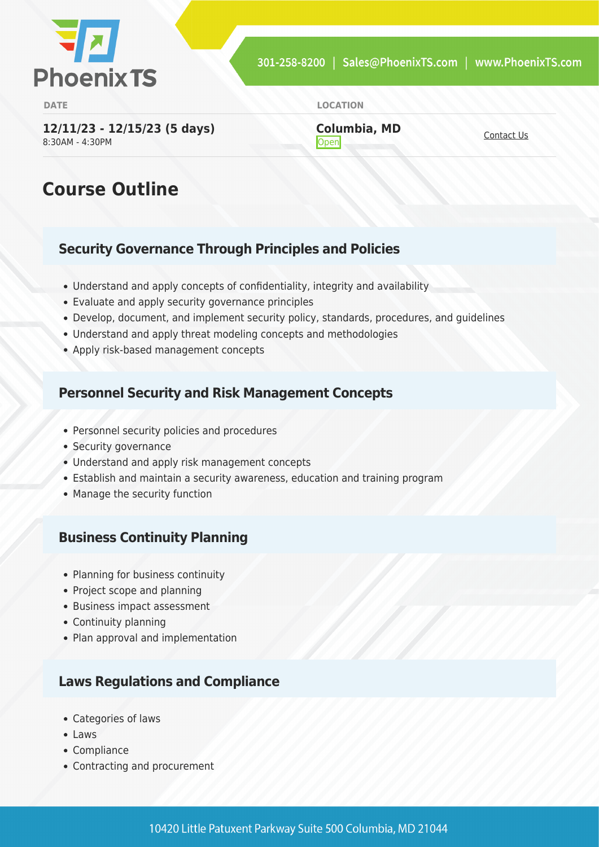

**DATE LOCATION**

**12/11/23 - 12/15/23 (5 days)** 8:30AM - 4:30PM

**Columbia, MD [Contact Us](https://phoenixts.com/schedule/more-info/?class=28391)**<br> **Open** 

# **Course Outline**

#### **Security Governance Through Principles and Policies**

- Understand and apply concepts of confidentiality, integrity and availability
- Evaluate and apply security governance principles
- Develop, document, and implement security policy, standards, procedures, and guidelines
- Understand and apply threat modeling concepts and methodologies
- Apply risk-based management concepts

#### **Personnel Security and Risk Management Concepts**

- Personnel security policies and procedures
- Security governance
- Understand and apply risk management concepts
- Establish and maintain a security awareness, education and training program
- Manage the security function

#### **Business Continuity Planning**

- Planning for business continuity
- Project scope and planning
- Business impact assessment
- Continuity planning
- Plan approval and implementation

#### **Laws Regulations and Compliance**

- Categories of laws
- $\bullet$  Laws
- Compliance
- Contracting and procurement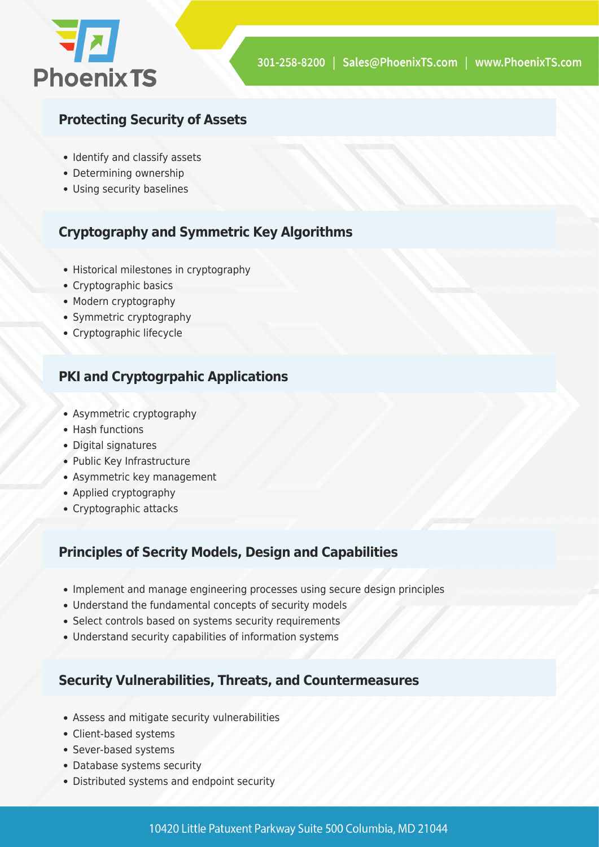

#### **Protecting Security of Assets**

- Identify and classify assets
- Determining ownership
- Using security baselines

### **Cryptography and Symmetric Key Algorithms**

- Historical milestones in cryptography
- Cryptographic basics
- Modern cryptography
- Symmetric cryptography
- Cryptographic lifecycle

#### **PKI and Cryptogrpahic Applications**

- Asymmetric cryptography
- Hash functions
- Digital signatures
- Public Key Infrastructure
- Asymmetric key management
- Applied cryptography
- Cryptographic attacks

#### **Principles of Secrity Models, Design and Capabilities**

- Implement and manage engineering processes using secure design principles
- Understand the fundamental concepts of security models
- Select controls based on systems security requirements
- Understand security capabilities of information systems

#### **Security Vulnerabilities, Threats, and Countermeasures**

- Assess and mitigate security vulnerabilities
- Client-based systems
- Sever-based systems
- Database systems security
- Distributed systems and endpoint security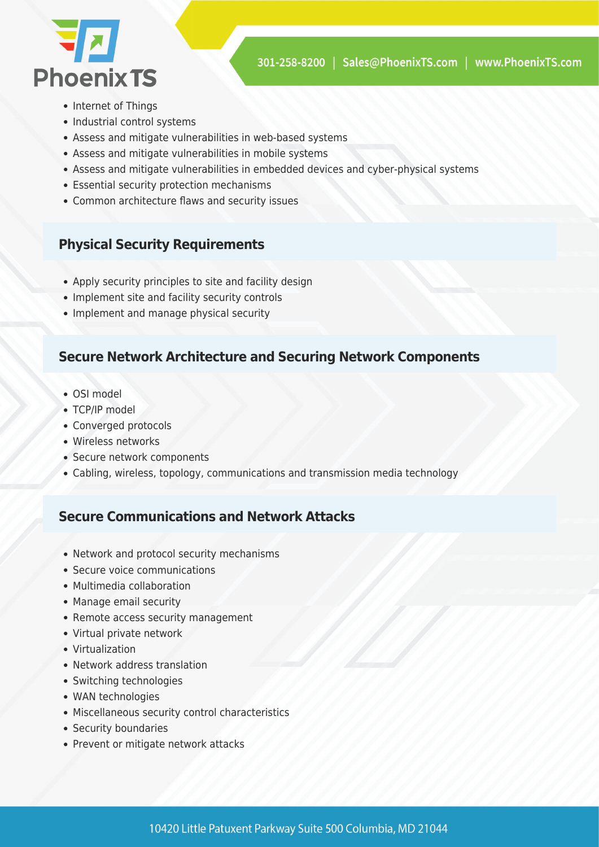

- Internet of Things
- Industrial control systems
- Assess and mitigate vulnerabilities in web-based systems
- Assess and mitigate vulnerabilities in mobile systems
- Assess and mitigate vulnerabilities in embedded devices and cyber-physical systems
- Essential security protection mechanisms
- Common architecture flaws and security issues

#### **Physical Security Requirements**

- Apply security principles to site and facility design
- Implement site and facility security controls
- Implement and manage physical security

#### **Secure Network Architecture and Securing Network Components**

- OSI model
- TCP/IP model
- Converged protocols
- Wireless networks
- Secure network components
- Cabling, wireless, topology, communications and transmission media technology

#### **Secure Communications and Network Attacks**

- Network and protocol security mechanisms
- Secure voice communications
- Multimedia collaboration
- Manage email security
- Remote access security management
- Virtual private network
- Virtualization
- Network address translation
- Switching technologies
- WAN technologies
- Miscellaneous security control characteristics
- Security boundaries
- Prevent or mitigate network attacks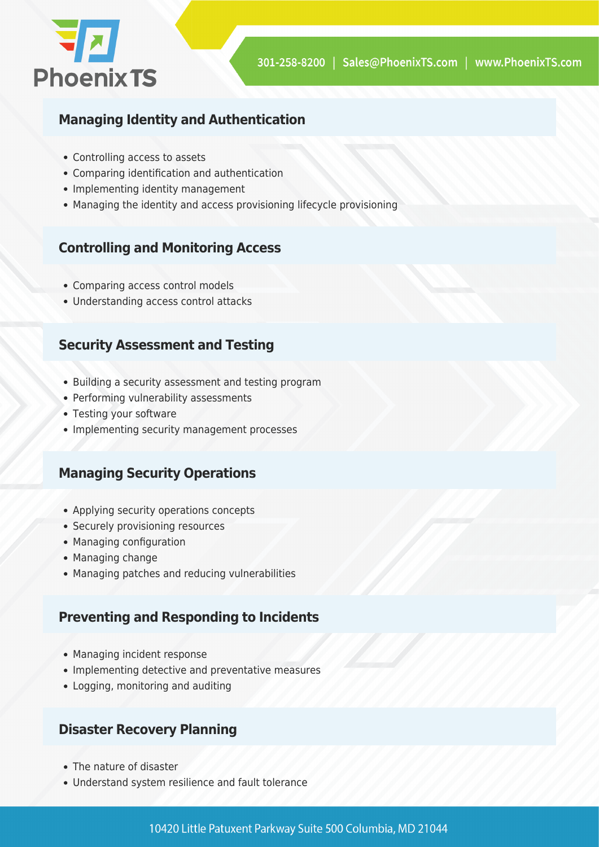

#### **Managing Identity and Authentication**

- Controlling access to assets
- Comparing identification and authentication
- Implementing identity management
- Managing the identity and access provisioning lifecycle provisioning

#### **Controlling and Monitoring Access**

- Comparing access control models
- Understanding access control attacks

#### **Security Assessment and Testing**

- Building a security assessment and testing program
- Performing vulnerability assessments
- Testing your software
- Implementing security management processes

#### **Managing Security Operations**

- Applying security operations concepts
- Securely provisioning resources
- Managing configuration
- Managing change
- Managing patches and reducing vulnerabilities

#### **Preventing and Responding to Incidents**

- Managing incident response
- Implementing detective and preventative measures
- Logging, monitoring and auditing

#### **Disaster Recovery Planning**

- The nature of disaster
- Understand system resilience and fault tolerance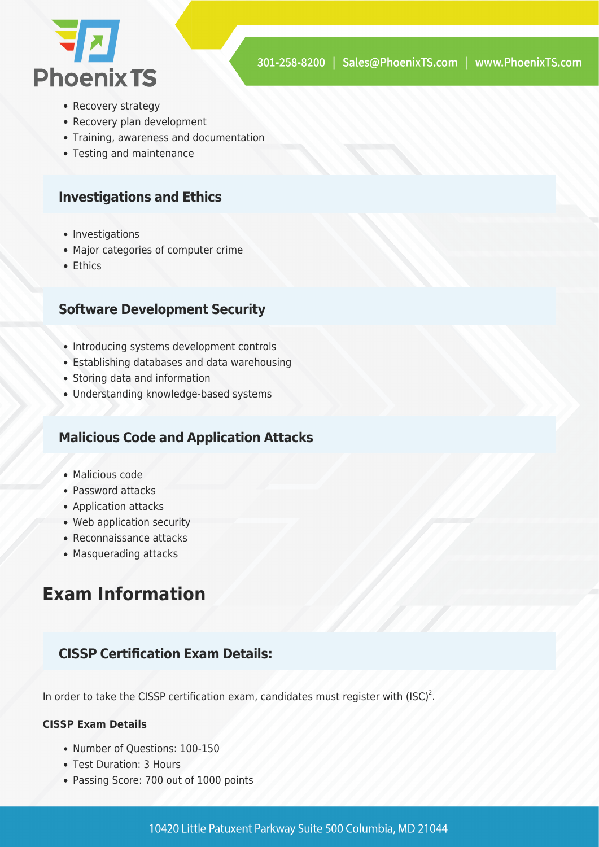

- Recovery strategy
- Recovery plan development
- Training, awareness and documentation
- Testing and maintenance

#### **Investigations and Ethics**

- Investigations
- Major categories of computer crime
- Ethics

#### **Software Development Security**

- Introducing systems development controls
- Establishing databases and data warehousing
- Storing data and information
- Understanding knowledge-based systems

#### **Malicious Code and Application Attacks**

- Malicious code
- Password attacks
- Application attacks
- Web application security
- Reconnaissance attacks
- Masquerading attacks

## **Exam Information**

#### **CISSP Certification Exam Details:**

In order to take the CISSP certification exam, candidates must register with  $(ISC)^2$ .

#### **CISSP Exam Details**

- Number of Questions: 100-150
- Test Duration: 3 Hours
- Passing Score: 700 out of 1000 points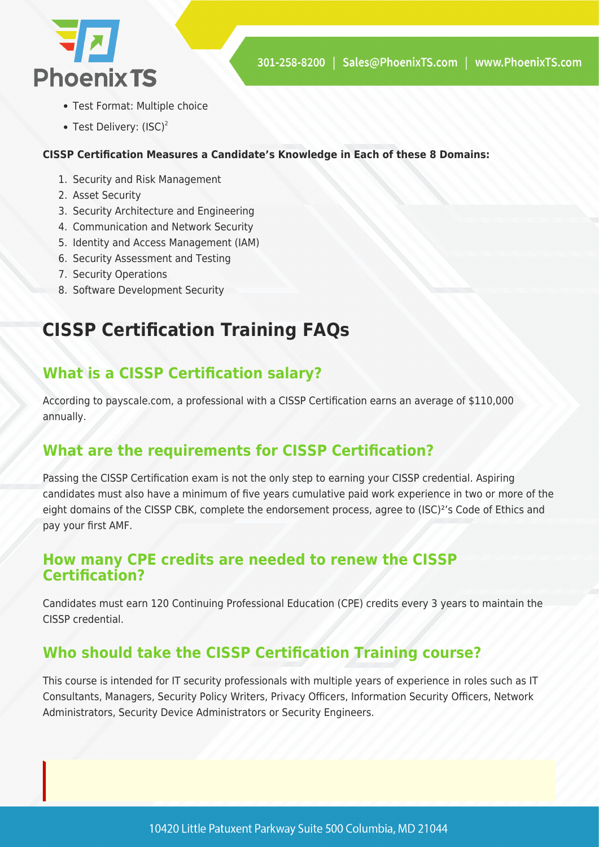

- Test Format: Multiple choice
- Test Delivery:  $(ISC)^2$

#### **CISSP Certification Measures a Candidate's Knowledge in Each of these 8 Domains:**

- 1. Security and Risk Management
- 2. Asset Security
- 3. Security Architecture and Engineering
- 4. Communication and Network Security
- 5. Identity and Access Management (IAM)
- 6. Security Assessment and Testing
- 7. Security Operations
- 8. Software Development Security

# **CISSP Certification Training FAQs**

### **What is a CISSP Certification salary?**

According to payscale.com, a professional with a CISSP Certification earns an average of \$110,000 annually.

### **What are the requirements for CISSP Certification?**

Passing the CISSP Certification exam is not the only step to earning your CISSP credential. Aspiring candidates must also have a minimum of five years cumulative paid work experience in two or more of the eight domains of the CISSP CBK, complete the endorsement process, agree to (ISC)²'s Code of Ethics and pay your first AMF.

#### **How many CPE credits are needed to renew the CISSP Certification?**

Candidates must earn 120 Continuing Professional Education (CPE) credits every 3 years to maintain the CISSP credential.

### **Who should take the CISSP Certification Training course?**

This course is intended for IT security professionals with multiple years of experience in roles such as IT Consultants, Managers, Security Policy Writers, Privacy Officers, Information Security Officers, Network Administrators, Security Device Administrators or Security Engineers.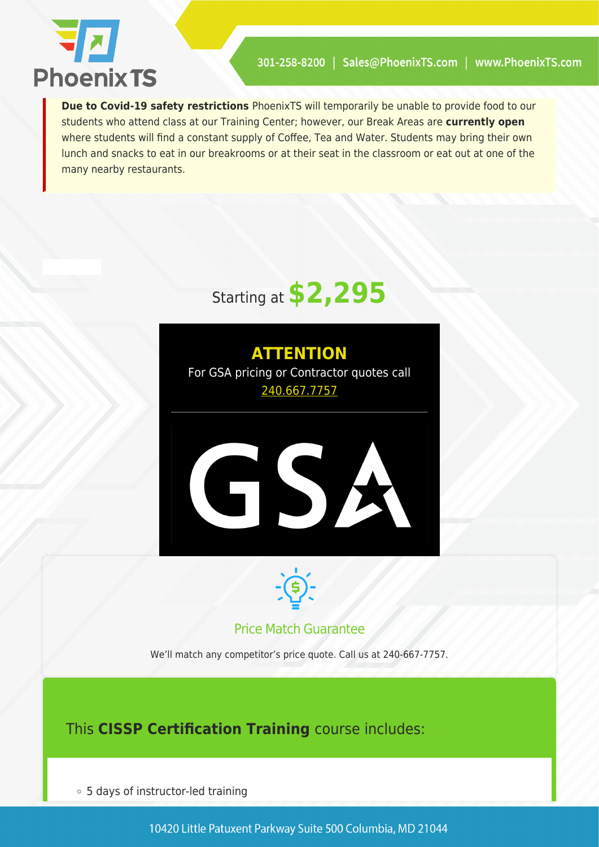

**Due to Covid-19 safety restrictions** PhoenixTS will temporarily be unable to provide food to our students who attend class at our Training Center; however, our Break Areas are **currently open** where students will find a constant supply of Coffee, Tea and Water. Students may bring their own lunch and snacks to eat in our breakrooms or at their seat in the classroom or eat out at one of the many nearby restaurants.



**ATTENTION** For GSA pricing or Contractor quotes call [240.667.7757](#page--1-0)





#### Price Match Guarantee

We'll match any competitor's price quote. Call us at 240-667-7757.

This **CISSP Certification Training** course includes:

5 days of instructor-led training

10420 Little Patuxent Parkway Suite 500 Columbia, MD 21044